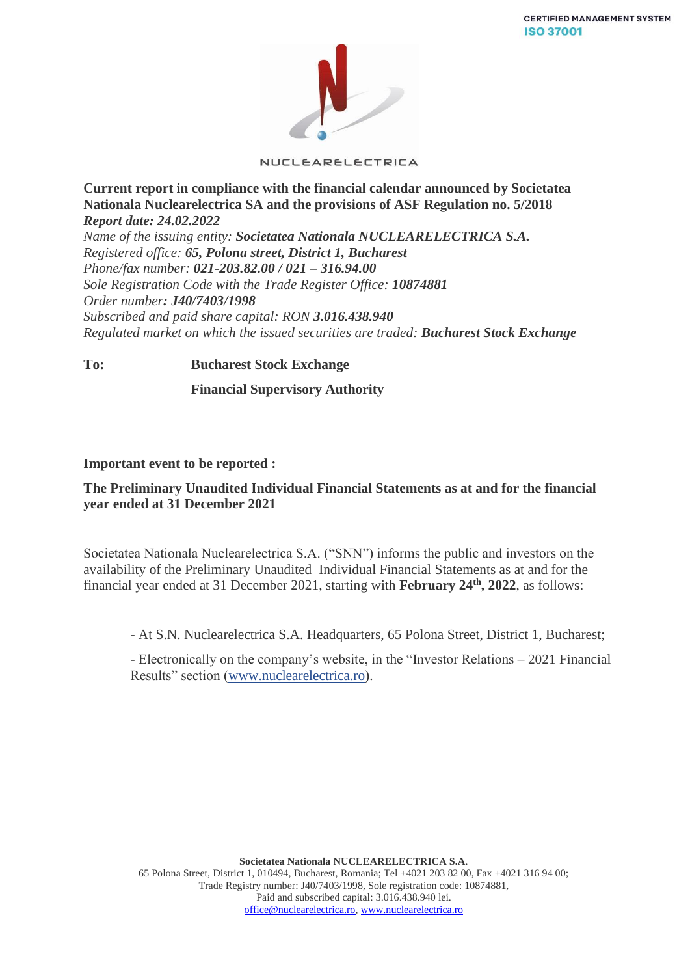

NUCLEARELECTRICA

**Current report in compliance with the financial calendar announced by Societatea Nationala Nuclearelectrica SA and the provisions of ASF Regulation no. 5/2018** *Report date: 24.02.2022*

*Name of the issuing entity: Societatea Nationala NUCLEARELECTRICA S.A. Registered office: 65, Polona street, District 1, Bucharest Phone/fax number: 021-203.82.00 / 021 – 316.94.00 Sole Registration Code with the Trade Register Office: 10874881 Order number: J40/7403/1998 Subscribed and paid share capital: RON 3.016.438.940 Regulated market on which the issued securities are traded: Bucharest Stock Exchange*

**To: Bucharest Stock Exchange**

 **Financial Supervisory Authority**

## **Important event to be reported :**

## **The Preliminary Unaudited Individual Financial Statements as at and for the financial year ended at 31 December 2021**

Societatea Nationala Nuclearelectrica S.A. ("SNN") informs the public and investors on the availability of the Preliminary Unaudited Individual Financial Statements as at and for the financial year ended at 31 December 2021, starting with February 24<sup>th</sup>, 2022, as follows:

- At S.N. Nuclearelectrica S.A. Headquarters, 65 Polona Street, District 1, Bucharest;

- Electronically on the company's website, in the "Investor Relations – 2021 Financial Results" section [\(www.nuclearelectrica.ro\)](http://www.nuclearelectrica.ro/).